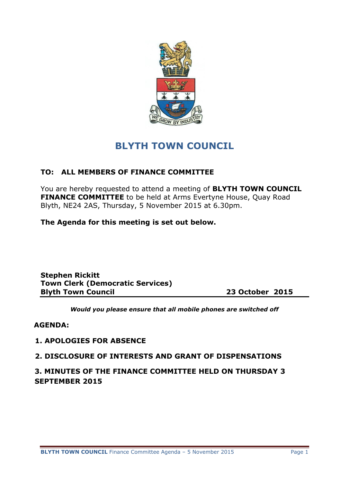

# **BLYTH TOWN COUNCIL**

# **TO: ALL MEMBERS OF FINANCE COMMITTEE**

You are hereby requested to attend a meeting of **BLYTH TOWN COUNCIL FINANCE COMMITTEE** to be held at Arms Evertyne House, Quay Road Blyth, NE24 2AS, Thursday, 5 November 2015 at 6.30pm.

**The Agenda for this meeting is set out below.**

**Stephen Rickitt Town Clerk (Democratic Services) Blyth Town Council 23 October 2015**

*Would you please ensure that all mobile phones are switched off*

#### **AGENDA:**

#### **1. APOLOGIES FOR ABSENCE**

#### **2. DISCLOSURE OF INTERESTS AND GRANT OF DISPENSATIONS**

**3. MINUTES OF THE FINANCE COMMITTEE HELD ON THURSDAY 3 SEPTEMBER 2015**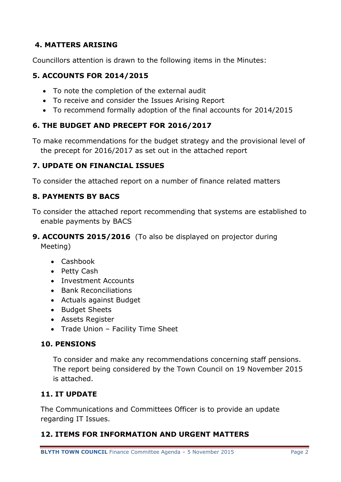# **4. MATTERS ARISING**

Councillors attention is drawn to the following items in the Minutes:

## **5. ACCOUNTS FOR 2014/2015**

- To note the completion of the external audit
- To receive and consider the Issues Arising Report
- To recommend formally adoption of the final accounts for 2014/2015

# **6. THE BUDGET AND PRECEPT FOR 2016/2017**

To make recommendations for the budget strategy and the provisional level of the precept for 2016/2017 as set out in the attached report

## **7. UPDATE ON FINANCIAL ISSUES**

To consider the attached report on a number of finance related matters

# **8. PAYMENTS BY BACS**

- To consider the attached report recommending that systems are established to enable payments by BACS
- **9. ACCOUNTS 2015/2016** (To also be displayed on projector during Meeting)
	- Cashbook
	- Petty Cash
	- Investment Accounts
	- Bank Reconciliations
	- Actuals against Budget
	- Budget Sheets
	- Assets Register
	- Trade Union Facility Time Sheet

## **10. PENSIONS**

To consider and make any recommendations concerning staff pensions. The report being considered by the Town Council on 19 November 2015 is attached.

## **11. IT UPDATE**

The Communications and Committees Officer is to provide an update regarding IT Issues.

## **12. ITEMS FOR INFORMATION AND URGENT MATTERS**